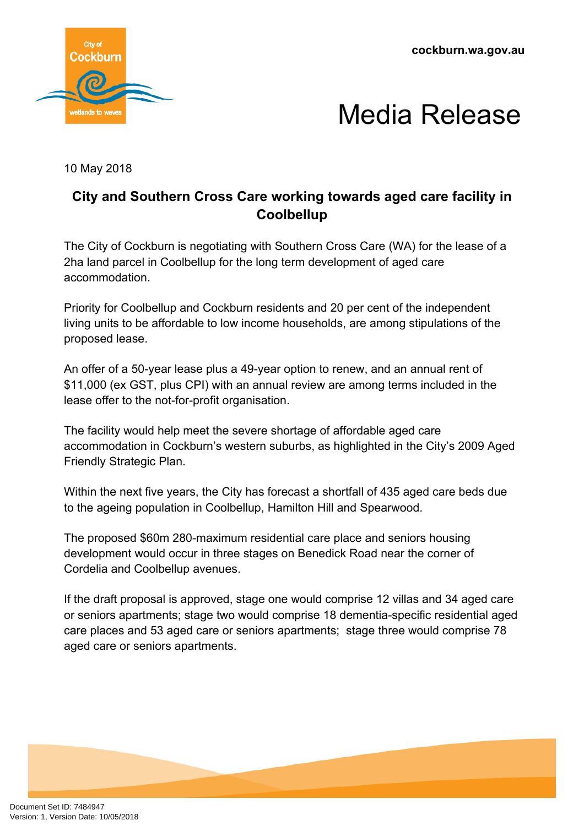**cockburn.wa.gov.au**





10 May 2018

## **City and Southern Cross Care working towards aged care facility in Coolbellup**

The City of Cockburn is negotiating with Southern Cross Care (WA) for the lease of a 2ha land parcel in Coolbellup for the long term development of aged care accommodation.

Priority for Coolbellup and Cockburn residents and 20 per cent of the independent living units to be affordable to low income households, are among stipulations of the proposed lease.

An offer of a 50-year lease plus a 49-year option to renew, and an annual rent of \$11,000 (ex GST, plus CPI) with an annual review are among terms included in the lease offer to the not-for-profit organisation.

The facility would help meet the severe shortage of affordable aged care accommodation in Cockburn's western suburbs, as highlighted in the City's 2009 Aged Friendly Strategic Plan.

Within the next five years, the City has forecast a shortfall of 435 aged care beds due to the ageing population in Coolbellup, Hamilton Hill and Spearwood.

The proposed \$60m 280-maximum residential care place and seniors housing development would occur in three stages on Benedick Road near the corner of Cordelia and Coolbellup avenues.

If the draft proposal is approved, stage one would comprise 12 villas and 34 aged care or seniors apartments; stage two would comprise 18 dementia-specific residential aged care places and 53 aged care or seniors apartments; stage three would comprise 78 aged care or seniors apartments.